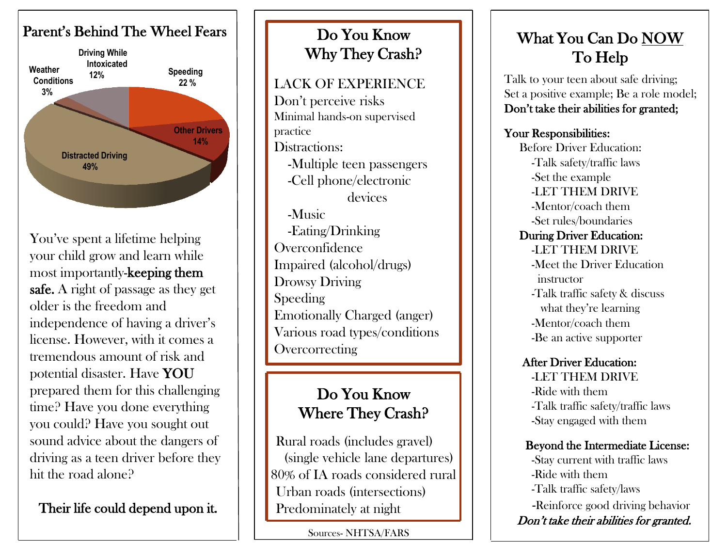

You've spent a lifetime helping your child grow and learn while most importantly-keeping them safe. A right of passage as they get older is the freedom and independence of having a driver's license. However, with it comes a tremendous amount of risk and potential disaster. Have YOU prepared them for this challenging time? Have you done everything you could? Have you sought out sound advice about the dangers of driving as a teen driver before they hit the road alone?

Their life could depend upon it.

## Do You Know Why They Crash?

### LACK OF EXPERIENCE

Don't perceive risks Minimal hands-on supervised practice Distractions: -Multiple teen passengers -Cell phone/electronic devices -Music -Eating/Drinking **Overconfidence** Impaired (alcohol/drugs) Drowsy Driving Speeding Emotionally Charged (anger) Various road types/conditions **Overcorrecting** 

## Do You Know Where They Crash?

 Rural roads (includes gravel) (single vehicle lane departures) 80% of IA roads considered rural Urban roads (intersections) Predominately at night

Sources- NHTSA/FARS

# What You Can Do NOW To Help

Talk to your teen about safe driving; Set a positive example; Be a role model; Don't take their abilities for granted;

### Your Responsibilities:

 Before Driver Education: -Talk safety/traffic laws -Set the example -LET THEM DRIVE -Mentor/coach them -Set rules/boundaries During Driver Education: -LET THEM DRIVE -Meet the Driver Education instructor -Talk traffic safety & discuss what they're learning -Mentor/coach them -Be an active supporter

#### After Driver Education:

 -LET THEM DRIVE -Ride with them -Talk traffic safety/traffic laws -Stay engaged with them

#### Beyond the Intermediate License:

 -Stay current with traffic laws -Ride with them -Talk traffic safety/laws -Reinforce good driving behavior Don't take their abilities for granted.